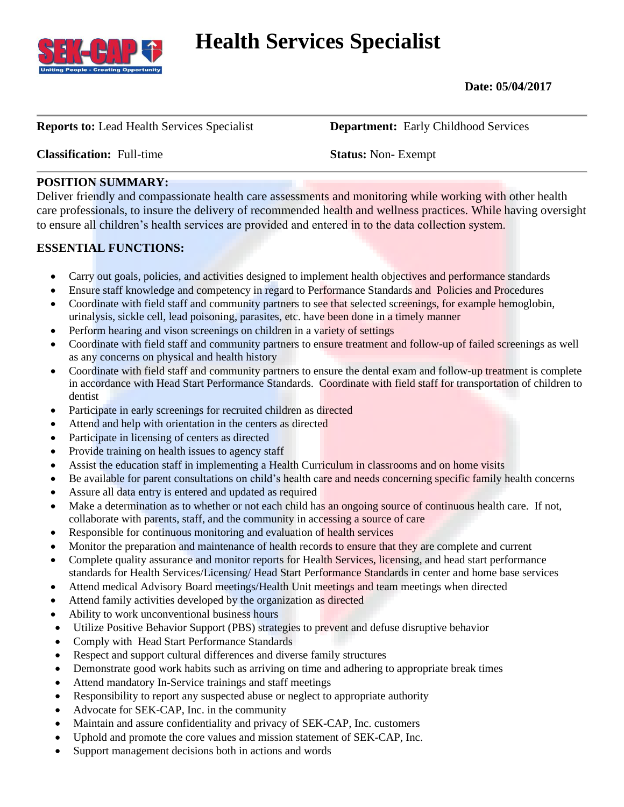

# **Health Services Specialist**

 **Date: 05/04/2017**

**Reports to:** Lead Health Services Specialist **Department:** Early Childhood Services

#### **Classification:** Full-time **Status:** Non**-** Exempt

## **POSITION SUMMARY:**

Deliver friendly and compassionate health care assessments and monitoring while working with other health care professionals, to insure the delivery of recommended health and wellness practices. While having oversight to ensure all children's health services are provided and entered in to the data collection system.

## **ESSENTIAL FUNCTIONS:**

- Carry out goals, policies, and activities designed to implement health objectives and performance standards
- Ensure staff knowledge and competency in regard to Performance Standards and Policies and Procedures
- Coordinate with field staff and community partners to see that selected screenings, for example hemoglobin, urinalysis, sickle cell, lead poisoning, parasites, etc. have been done in a timely manner
- Perform hearing and vison screenings on children in a variety of settings
- Coordinate with field staff and community partners to ensure treatment and follow-up of failed screenings as well as any concerns on physical and health history
- Coordinate with field staff and community partners to ensure the dental exam and follow-up treatment is complete in accordance with Head Start Performance Standards. Coordinate with field staff for transportation of children to dentist
- Participate in early screenings for recruited children as directed
- Attend and help with orientation in the centers as directed
- Participate in licensing of centers as directed
- Provide training on health issues to agency staff
- Assist the education staff in implementing a Health Curriculum in classrooms and on home visits
- Be available for parent consultations on child's health care and needs concerning specific family health concerns
- Assure all data entry is entered and updated as required
- Make a determination as to whether or not each child has an ongoing source of continuous health care. If not, collaborate with parents, staff, and the community in accessing a source of care
- Responsible for continuous monitoring and evaluation of health services
- Monitor the preparation and maintenance of health records to ensure that they are complete and current
- Complete quality assurance and monitor reports for Health Services, licensing, and head start performance standards for Health Services/Licensing/ Head Start Performance Standards in center and home base services
- Attend medical Advisory Board meetings/Health Unit meetings and team meetings when directed
- Attend family activities developed by the organization as directed
- Ability to work unconventional business hours
- Utilize Positive Behavior Support (PBS) strategies to prevent and defuse disruptive behavior
- Comply with Head Start Performance Standards
- Respect and support cultural differences and diverse family structures
- Demonstrate good work habits such as arriving on time and adhering to appropriate break times
- Attend mandatory In-Service trainings and staff meetings
- Responsibility to report any suspected abuse or neglect to appropriate authority
- Advocate for SEK-CAP, Inc. in the community
- Maintain and assure confidentiality and privacy of SEK-CAP, Inc. customers
- Uphold and promote the core values and mission statement of SEK-CAP, Inc.
- Support management decisions both in actions and words